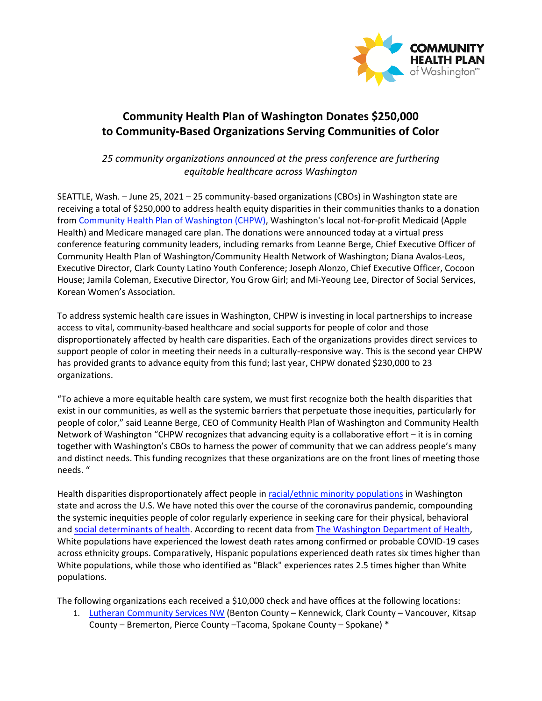

## **Community Health Plan of Washington Donates \$250,000 to Community-Based Organizations Serving Communities of Color**

*25 community organizations announced at the press conference are furthering equitable healthcare across Washington* 

SEATTLE, Wash. – June 25, 2021 – 25 community-based organizations (CBOs) in Washington state are receiving a total of \$250,000 to address health equity disparities in their communities thanks to a donation from [Community Health Plan of Washington \(CHPW\),](http://www.chpw.org/) Washington's local not-for-profit Medicaid (Apple Health) and Medicare managed care plan. The donations were announced today at a virtual press conference featuring community leaders, including remarks from Leanne Berge, Chief Executive Officer of Community Health Plan of Washington/Community Health Network of Washington; Diana Avalos-Leos, Executive Director, Clark County Latino Youth Conference; Joseph Alonzo, Chief Executive Officer, Cocoon House; Jamila Coleman, Executive Director, You Grow Girl; and Mi-Yeoung Lee, Director of Social Services, Korean Women's Association.

To address systemic health care issues in Washington, CHPW is investing in local partnerships to increase access to vital, community-based healthcare and social supports for people of color and those disproportionately affected by health care disparities. Each of the organizations provides direct services to support people of color in meeting their needs in a culturally-responsive way. This is the second year CHPW has provided grants to advance equity from this fund; last year, CHPW donated \$230,000 to 23 organizations.

"To achieve a more equitable health care system, we must first recognize both the health disparities that exist in our communities, as well as the systemic barriers that perpetuate those inequities, particularly for people of color," said Leanne Berge, CEO of Community Health Plan of Washington and Community Health Network of Washington "CHPW recognizes that advancing equity is a collaborative effort – it is in coming together with Washington's CBOs to harness the power of community that we can address people's many and distinct needs. This funding recognizes that these organizations are on the front lines of meeting those needs. "

Health disparities disproportionately affect people i[n racial/ethnic minority populations](https://covidtracking.com/race) in Washington state and across the U.S. We have noted this over the course of the coronavirus pandemic, compounding the systemic inequities people of color regularly experience in seeking care for their physical, behavioral and [social determinants of health.](https://www.cdc.gov/nchhstp/socialdeterminants/index.html) According to recent data from [The Washington Department of Health,](https://www.doh.wa.gov/Portals/1/Documents/1600/coronavirus/data-tables/COVID-19MorbidityMortalityRaceEthnicityLanguageWAState.pdf) White populations have experienced the lowest death rates among confirmed or probable COVID-19 cases across ethnicity groups. Comparatively, Hispanic populations experienced death rates six times higher than White populations, while those who identified as "Black" experiences rates 2.5 times higher than White populations.

The following organizations each received a \$10,000 check and have offices at the following locations:

1. [Lutheran Community Services NW](https://lcsnw.org/) (Benton County - Kennewick, Clark County - Vancouver, Kitsap County – Bremerton, Pierce County –Tacoma, Spokane County – Spokane) \*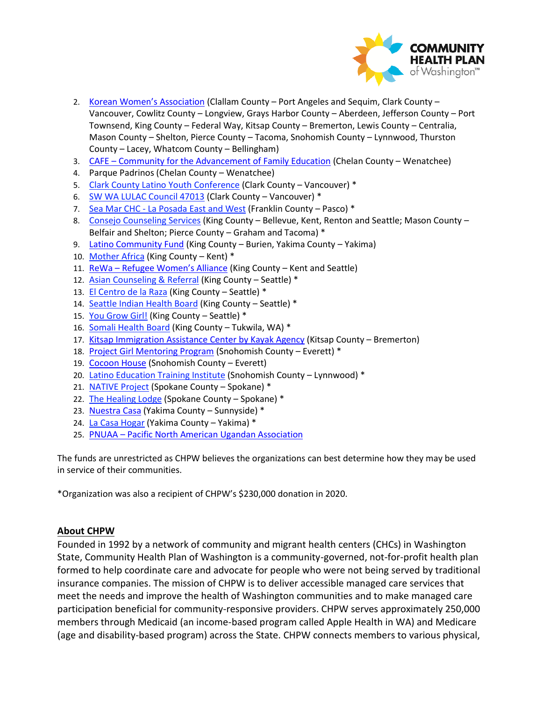

- 2. [Korean Women's Association](https://www.kwacares.org/) (Clallam County Port Angeles and Sequim, Clark County Vancouver, Cowlitz County – Longview, Grays Harbor County – Aberdeen, Jefferson County – Port Townsend, King County – Federal Way, Kitsap County – Bremerton, Lewis County – Centralia, Mason County – Shelton, Pierce County – Tacoma, Snohomish County – Lynnwood, Thurston County – Lacey, Whatcom County – Bellingham)
- 3. CAFE – [Community for the Advancement of Family Education](https://www.wenatcheecafe.org/) (Chelan County Wenatchee)
- 4. Parque Padrinos (Chelan County Wenatchee)
- 5. [Clark County Latino Youth Conference](https://clarkcountylatinoyouthconference.com/) (Clark County Vancouver) \*
- 6. [SW WA LULAC Council 47013](https://swwalulac.org/) (Clark County Vancouver) \*
- 7. [Sea Mar CHC La Posada East and West](https://www.seamar.org/franklin-housing-laposada.html) (Franklin County Pasco) \*
- 8. [Consejo Counseling Services](https://consejocounseling.org/) (King County Bellevue, Kent, Renton and Seattle; Mason County Belfair and Shelton; Pierce County – Graham and Tacoma) \*
- 9. [Latino Community Fund](https://www.latinocommunityfund.org/) (King County Burien, Yakima County Yakima)
- 10. [Mother Africa \(](https://www.motherafrica.org/)King County Kent) \*
- 11. ReWa [Refugee Women's Alliance](https://www.rewa.org/) (King County Kent and Seattle)
- 12. [Asian Counseling & Referral](https://acrs.org/) (King County Seattle) \*
- 13. [El Centro de la Raza](http://www.elcentrodelaraza.org/) (King County Seattle) \*
- 14. [Seattle Indian Health Board](https://www.sihb.org/) (King County Seattle) \*
- 15. [You Grow Girl!](https://www.yougrowgirl.org/) (King County Seattle) \*
- 16. [Somali Health Board](https://somalihealthboard.org/) (King County Tukwila, WA) \*
- 17. [Kitsap Immigration Assistance Center by Kayak Agency](https://kitsapiac.org/) (Kitsap County Bremerton)
- 18. [Project Girl Mentoring Program](https://www.project-girl.com/) (Snohomish County Everett) \*
- 19. [Cocoon House](http://www.cocoonhouse.org/) (Snohomish County Everett)
- 20. [Latino Education Training Institute](http://www.letiwa.org/) (Snohomish County Lynnwood) \*
- 21. [NATIVE Project](http://nativeproject.org/) (Spokane County Spokane) \*
- 22. [The Healing Lodge](https://healinglodge.org/) (Spokane County Spokane) \*
- 23. [Nuestra Casa](https://nuestracasawa.org/) (Yakima County Sunnyside) \*
- 24. [La Casa Hogar](http://www.lacasahogar.org/) (Yakima County Yakima) \*
- 25. PNUAA – [Pacific North American Ugandan Association](http://www.pnuaawa.org/)

The funds are unrestricted as CHPW believes the organizations can best determine how they may be used in service of their communities.

\*Organization was also a recipient of CHPW's \$230,000 donation in 2020.

## **About CHPW**

Founded in 1992 by a network of community and migrant health centers (CHCs) in Washington State, Community Health Plan of Washington is a community-governed, not-for-profit health plan formed to help coordinate care and advocate for people who were not being served by traditional insurance companies. The mission of CHPW is to deliver accessible managed care services that meet the needs and improve the health of Washington communities and to make managed care participation beneficial for community-responsive providers. CHPW serves approximately 250,000 members through Medicaid (an income-based program called Apple Health in WA) and Medicare (age and disability-based program) across the State. CHPW connects members to various physical,